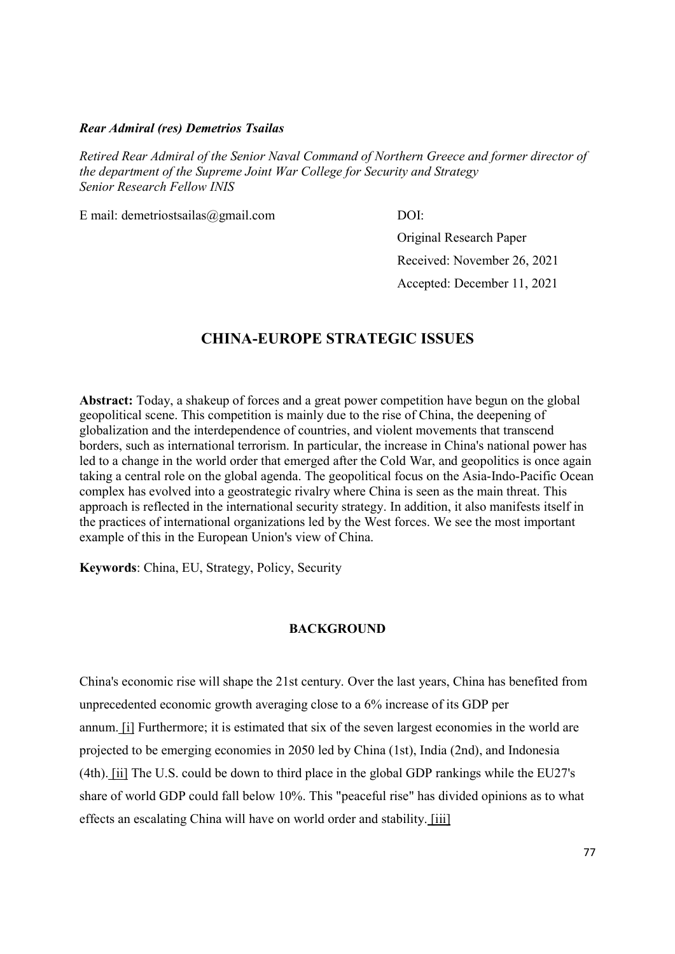#### Rear Admiral (res) Demetrios Tsailas

Retired Rear Admiral of the Senior Naval Command of Northern Greece and former director of the department of the Supreme Joint War College for Security and Strategy Senior Research Fellow INIS

E mail: demetriostsailas@gmail.com DOI:

Original Research Paper Received: November 26, 2021 Accepted: December 11, 2021

# CHINA-EUROPE STRATEGIC ISSUES

Abstract: Today, a shakeup of forces and a great power competition have begun on the global geopolitical scene. This competition is mainly due to the rise of China, the deepening of globalization and the interdependence of countries, and violent movements that transcend borders, such as international terrorism. In particular, the increase in China's national power has led to a change in the world order that emerged after the Cold War, and geopolitics is once again taking a central role on the global agenda. The geopolitical focus on the Asia-Indo-Pacific Ocean complex has evolved into a geostrategic rivalry where China is seen as the main threat. This approach is reflected in the international security strategy. In addition, it also manifests itself in the practices of international organizations led by the West forces. We see the most important example of this in the European Union's view of China.

Keywords: China, EU, Strategy, Policy, Security

### **BACKGROUND**

China's economic rise will shape the 21st century. Over the last years, China has benefited from unprecedented economic growth averaging close to a 6% increase of its GDP per annum. [i] Furthermore; it is estimated that six of the seven largest economies in the world are projected to be emerging economies in 2050 led by China (1st), India (2nd), and Indonesia (4th). [ii] The U.S. could be down to third place in the global GDP rankings while the EU27's share of world GDP could fall below 10%. This "peaceful rise" has divided opinions as to what effects an escalating China will have on world order and stability. [iii]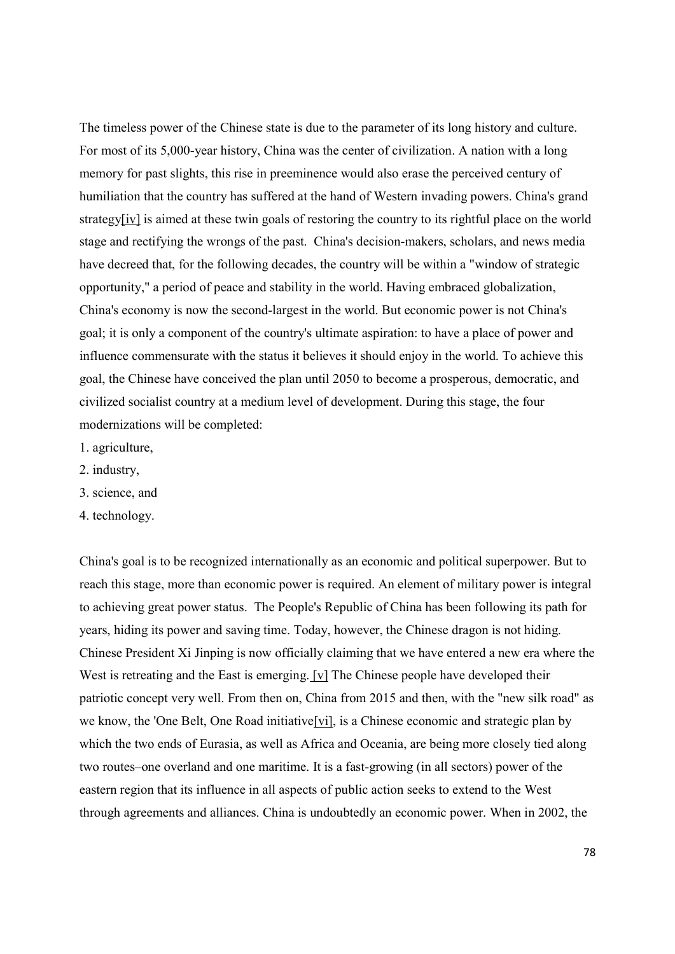The timeless power of the Chinese state is due to the parameter of its long history and culture. For most of its 5,000-year history, China was the center of civilization. A nation with a long memory for past slights, this rise in preeminence would also erase the perceived century of humiliation that the country has suffered at the hand of Western invading powers. China's grand strategy[iv] is aimed at these twin goals of restoring the country to its rightful place on the world stage and rectifying the wrongs of the past. China's decision-makers, scholars, and news media have decreed that, for the following decades, the country will be within a "window of strategic opportunity," a period of peace and stability in the world. Having embraced globalization, China's economy is now the second-largest in the world. But economic power is not China's goal; it is only a component of the country's ultimate aspiration: to have a place of power and influence commensurate with the status it believes it should enjoy in the world. To achieve this goal, the Chinese have conceived the plan until 2050 to become a prosperous, democratic, and civilized socialist country at a medium level of development. During this stage, the four modernizations will be completed:

- 1. agriculture,
- 2. industry,
- 3. science, and
- 4. technology.

China's goal is to be recognized internationally as an economic and political superpower. But to reach this stage, more than economic power is required. An element of military power is integral to achieving great power status. The People's Republic of China has been following its path for years, hiding its power and saving time. Today, however, the Chinese dragon is not hiding. Chinese President Xi Jinping is now officially claiming that we have entered a new era where the West is retreating and the East is emerging. [v] The Chinese people have developed their patriotic concept very well. From then on, China from 2015 and then, with the "new silk road" as we know, the 'One Belt, One Road initiative[vi], is a Chinese economic and strategic plan by which the two ends of Eurasia, as well as Africa and Oceania, are being more closely tied along two routes–one overland and one maritime. It is a fast-growing (in all sectors) power of the eastern region that its influence in all aspects of public action seeks to extend to the West through agreements and alliances. China is undoubtedly an economic power. When in 2002, the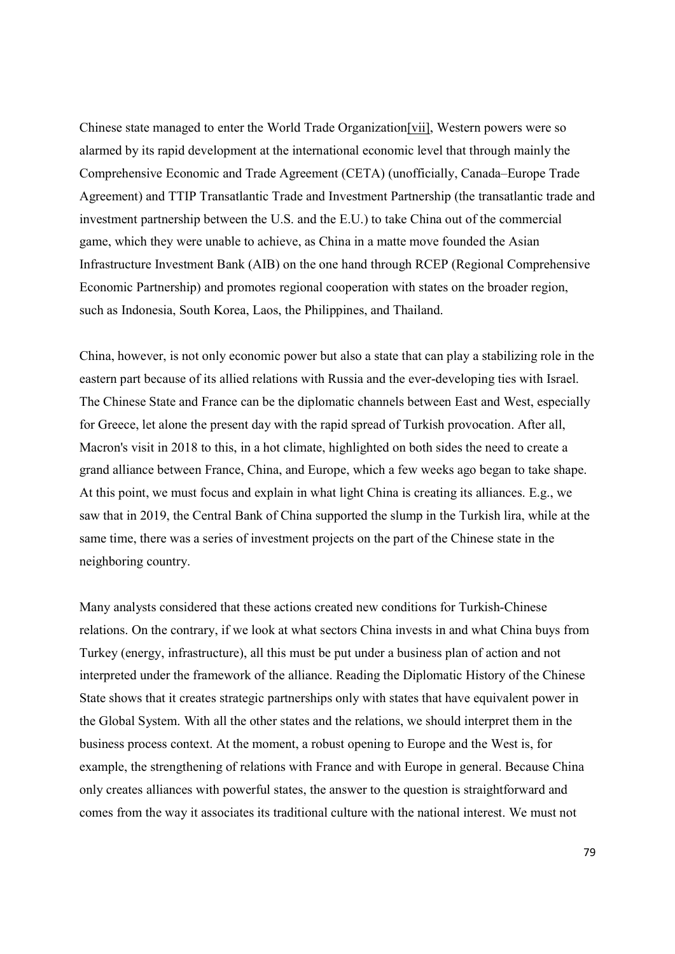Chinese state managed to enter the World Trade Organization[vii], Western powers were so alarmed by its rapid development at the international economic level that through mainly the Comprehensive Economic and Trade Agreement (CETA) (unofficially, Canada–Europe Trade Agreement) and TTIP Transatlantic Trade and Investment Partnership (the transatlantic trade and investment partnership between the U.S. and the E.U.) to take China out of the commercial game, which they were unable to achieve, as China in a matte move founded the Asian Infrastructure Investment Bank (AIB) on the one hand through RCEP (Regional Comprehensive Economic Partnership) and promotes regional cooperation with states on the broader region, such as Indonesia, South Korea, Laos, the Philippines, and Thailand.

China, however, is not only economic power but also a state that can play a stabilizing role in the eastern part because of its allied relations with Russia and the ever-developing ties with Israel. The Chinese State and France can be the diplomatic channels between East and West, especially for Greece, let alone the present day with the rapid spread of Turkish provocation. After all, Macron's visit in 2018 to this, in a hot climate, highlighted on both sides the need to create a grand alliance between France, China, and Europe, which a few weeks ago began to take shape. At this point, we must focus and explain in what light China is creating its alliances. E.g., we saw that in 2019, the Central Bank of China supported the slump in the Turkish lira, while at the same time, there was a series of investment projects on the part of the Chinese state in the neighboring country.

Many analysts considered that these actions created new conditions for Turkish-Chinese relations. On the contrary, if we look at what sectors China invests in and what China buys from Turkey (energy, infrastructure), all this must be put under a business plan of action and not interpreted under the framework of the alliance. Reading the Diplomatic History of the Chinese State shows that it creates strategic partnerships only with states that have equivalent power in the Global System. With all the other states and the relations, we should interpret them in the business process context. At the moment, a robust opening to Europe and the West is, for example, the strengthening of relations with France and with Europe in general. Because China only creates alliances with powerful states, the answer to the question is straightforward and comes from the way it associates its traditional culture with the national interest. We must not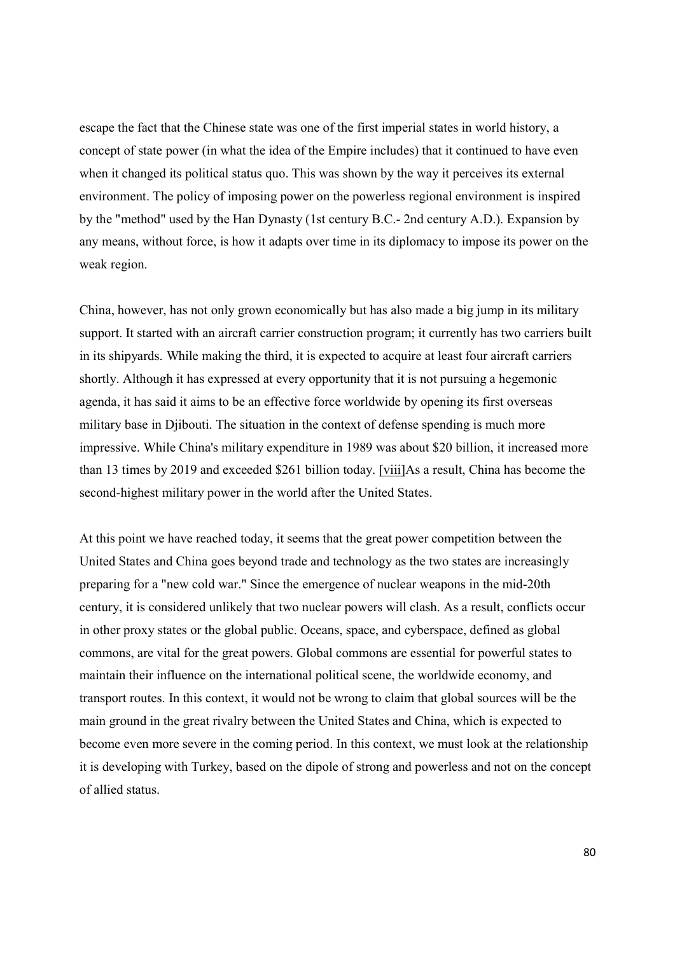escape the fact that the Chinese state was one of the first imperial states in world history, a concept of state power (in what the idea of the Empire includes) that it continued to have even when it changed its political status quo. This was shown by the way it perceives its external environment. The policy of imposing power on the powerless regional environment is inspired by the "method" used by the Han Dynasty (1st century B.C.- 2nd century A.D.). Expansion by any means, without force, is how it adapts over time in its diplomacy to impose its power on the weak region.

China, however, has not only grown economically but has also made a big jump in its military support. It started with an aircraft carrier construction program; it currently has two carriers built in its shipyards. While making the third, it is expected to acquire at least four aircraft carriers shortly. Although it has expressed at every opportunity that it is not pursuing a hegemonic agenda, it has said it aims to be an effective force worldwide by opening its first overseas military base in Djibouti. The situation in the context of defense spending is much more impressive. While China's military expenditure in 1989 was about \$20 billion, it increased more than 13 times by 2019 and exceeded \$261 billion today. [viii]As a result, China has become the second-highest military power in the world after the United States.

At this point we have reached today, it seems that the great power competition between the United States and China goes beyond trade and technology as the two states are increasingly preparing for a "new cold war." Since the emergence of nuclear weapons in the mid-20th century, it is considered unlikely that two nuclear powers will clash. As a result, conflicts occur in other proxy states or the global public. Oceans, space, and cyberspace, defined as global commons, are vital for the great powers. Global commons are essential for powerful states to maintain their influence on the international political scene, the worldwide economy, and transport routes. In this context, it would not be wrong to claim that global sources will be the main ground in the great rivalry between the United States and China, which is expected to become even more severe in the coming period. In this context, we must look at the relationship it is developing with Turkey, based on the dipole of strong and powerless and not on the concept of allied status.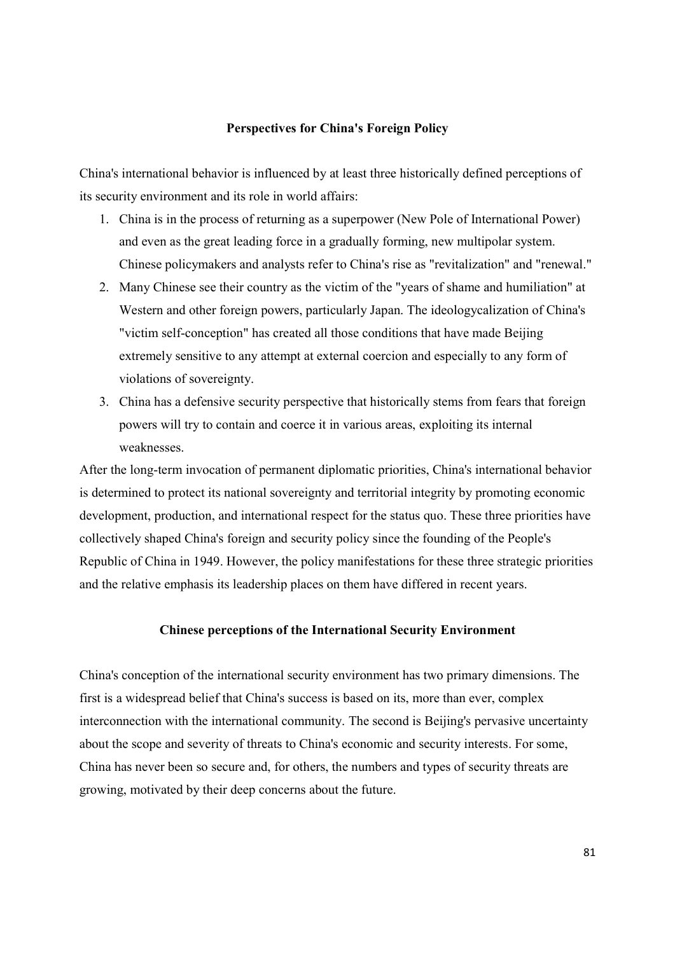#### Perspectives for China's Foreign Policy

China's international behavior is influenced by at least three historically defined perceptions of its security environment and its role in world affairs:

- 1. China is in the process of returning as a superpower (New Pole of International Power) and even as the great leading force in a gradually forming, new multipolar system. Chinese policymakers and analysts refer to China's rise as "revitalization" and "renewal."
- 2. Many Chinese see their country as the victim of the "years of shame and humiliation" at Western and other foreign powers, particularly Japan. The ideologycalization of China's "victim self-conception" has created all those conditions that have made Beijing extremely sensitive to any attempt at external coercion and especially to any form of violations of sovereignty.
- 3. China has a defensive security perspective that historically stems from fears that foreign powers will try to contain and coerce it in various areas, exploiting its internal weaknesses.

After the long-term invocation of permanent diplomatic priorities, China's international behavior is determined to protect its national sovereignty and territorial integrity by promoting economic development, production, and international respect for the status quo. These three priorities have collectively shaped China's foreign and security policy since the founding of the People's Republic of China in 1949. However, the policy manifestations for these three strategic priorities and the relative emphasis its leadership places on them have differed in recent years.

#### Chinese perceptions of the International Security Environment

China's conception of the international security environment has two primary dimensions. The first is a widespread belief that China's success is based on its, more than ever, complex interconnection with the international community. The second is Beijing's pervasive uncertainty about the scope and severity of threats to China's economic and security interests. For some, China has never been so secure and, for others, the numbers and types of security threats are growing, motivated by their deep concerns about the future.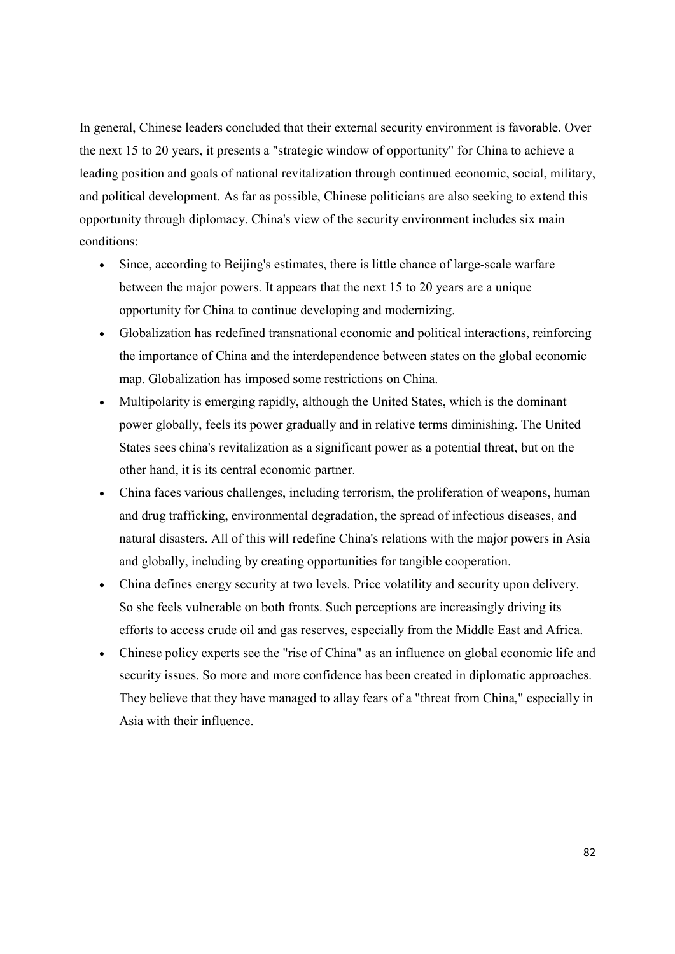In general, Chinese leaders concluded that their external security environment is favorable. Over the next 15 to 20 years, it presents a "strategic window of opportunity" for China to achieve a leading position and goals of national revitalization through continued economic, social, military, and political development. As far as possible, Chinese politicians are also seeking to extend this opportunity through diplomacy. China's view of the security environment includes six main conditions:

- Since, according to Beijing's estimates, there is little chance of large-scale warfare between the major powers. It appears that the next 15 to 20 years are a unique opportunity for China to continue developing and modernizing.
- Globalization has redefined transnational economic and political interactions, reinforcing the importance of China and the interdependence between states on the global economic map. Globalization has imposed some restrictions on China.
- Multipolarity is emerging rapidly, although the United States, which is the dominant power globally, feels its power gradually and in relative terms diminishing. The United States sees china's revitalization as a significant power as a potential threat, but on the other hand, it is its central economic partner.
- China faces various challenges, including terrorism, the proliferation of weapons, human and drug trafficking, environmental degradation, the spread of infectious diseases, and natural disasters. All of this will redefine China's relations with the major powers in Asia and globally, including by creating opportunities for tangible cooperation.
- China defines energy security at two levels. Price volatility and security upon delivery. So she feels vulnerable on both fronts. Such perceptions are increasingly driving its efforts to access crude oil and gas reserves, especially from the Middle East and Africa.
- Chinese policy experts see the "rise of China" as an influence on global economic life and security issues. So more and more confidence has been created in diplomatic approaches. They believe that they have managed to allay fears of a "threat from China," especially in Asia with their influence.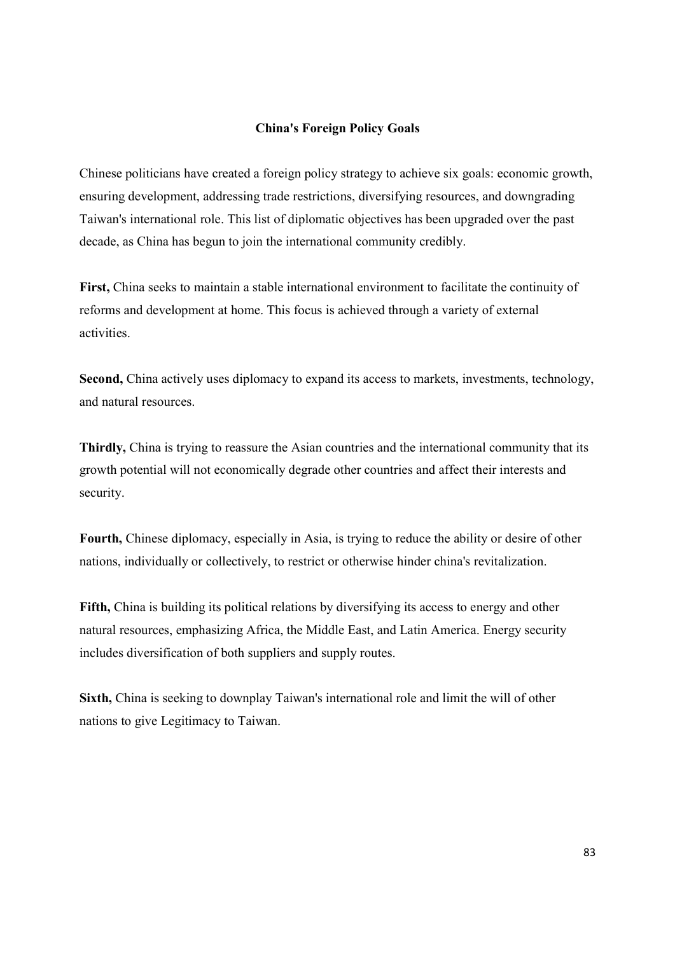### China's Foreign Policy Goals

Chinese politicians have created a foreign policy strategy to achieve six goals: economic growth, ensuring development, addressing trade restrictions, diversifying resources, and downgrading Taiwan's international role. This list of diplomatic objectives has been upgraded over the past decade, as China has begun to join the international community credibly.

First, China seeks to maintain a stable international environment to facilitate the continuity of reforms and development at home. This focus is achieved through a variety of external activities.

Second, China actively uses diplomacy to expand its access to markets, investments, technology, and natural resources.

Thirdly, China is trying to reassure the Asian countries and the international community that its growth potential will not economically degrade other countries and affect their interests and security.

Fourth, Chinese diplomacy, especially in Asia, is trying to reduce the ability or desire of other nations, individually or collectively, to restrict or otherwise hinder china's revitalization.

Fifth, China is building its political relations by diversifying its access to energy and other natural resources, emphasizing Africa, the Middle East, and Latin America. Energy security includes diversification of both suppliers and supply routes.

Sixth, China is seeking to downplay Taiwan's international role and limit the will of other nations to give Legitimacy to Taiwan.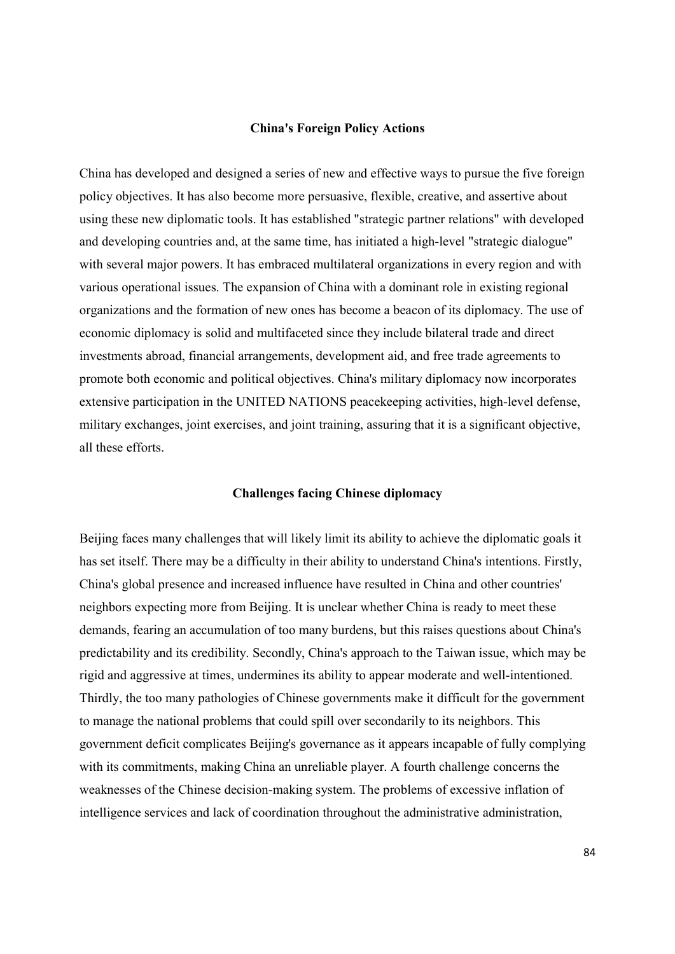#### China's Foreign Policy Actions

China has developed and designed a series of new and effective ways to pursue the five foreign policy objectives. It has also become more persuasive, flexible, creative, and assertive about using these new diplomatic tools. It has established "strategic partner relations" with developed and developing countries and, at the same time, has initiated a high-level "strategic dialogue" with several major powers. It has embraced multilateral organizations in every region and with various operational issues. The expansion of China with a dominant role in existing regional organizations and the formation of new ones has become a beacon of its diplomacy. The use of economic diplomacy is solid and multifaceted since they include bilateral trade and direct investments abroad, financial arrangements, development aid, and free trade agreements to promote both economic and political objectives. China's military diplomacy now incorporates extensive participation in the UNITED NATIONS peacekeeping activities, high-level defense, military exchanges, joint exercises, and joint training, assuring that it is a significant objective, all these efforts.

#### Challenges facing Chinese diplomacy

Beijing faces many challenges that will likely limit its ability to achieve the diplomatic goals it has set itself. There may be a difficulty in their ability to understand China's intentions. Firstly, China's global presence and increased influence have resulted in China and other countries' neighbors expecting more from Beijing. It is unclear whether China is ready to meet these demands, fearing an accumulation of too many burdens, but this raises questions about China's predictability and its credibility. Secondly, China's approach to the Taiwan issue, which may be rigid and aggressive at times, undermines its ability to appear moderate and well-intentioned. Thirdly, the too many pathologies of Chinese governments make it difficult for the government to manage the national problems that could spill over secondarily to its neighbors. This government deficit complicates Beijing's governance as it appears incapable of fully complying with its commitments, making China an unreliable player. A fourth challenge concerns the weaknesses of the Chinese decision-making system. The problems of excessive inflation of intelligence services and lack of coordination throughout the administrative administration,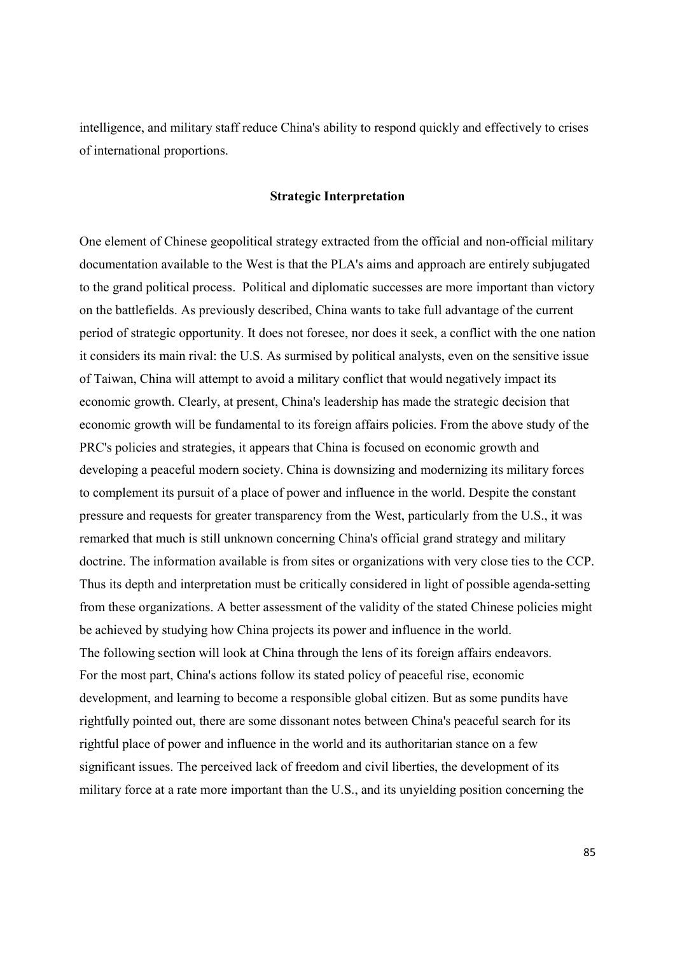intelligence, and military staff reduce China's ability to respond quickly and effectively to crises of international proportions.

#### Strategic Interpretation

One element of Chinese geopolitical strategy extracted from the official and non-official military documentation available to the West is that the PLA's aims and approach are entirely subjugated to the grand political process. Political and diplomatic successes are more important than victory on the battlefields. As previously described, China wants to take full advantage of the current period of strategic opportunity. It does not foresee, nor does it seek, a conflict with the one nation it considers its main rival: the U.S. As surmised by political analysts, even on the sensitive issue of Taiwan, China will attempt to avoid a military conflict that would negatively impact its economic growth. Clearly, at present, China's leadership has made the strategic decision that economic growth will be fundamental to its foreign affairs policies. From the above study of the PRC's policies and strategies, it appears that China is focused on economic growth and developing a peaceful modern society. China is downsizing and modernizing its military forces to complement its pursuit of a place of power and influence in the world. Despite the constant pressure and requests for greater transparency from the West, particularly from the U.S., it was remarked that much is still unknown concerning China's official grand strategy and military doctrine. The information available is from sites or organizations with very close ties to the CCP. Thus its depth and interpretation must be critically considered in light of possible agenda-setting from these organizations. A better assessment of the validity of the stated Chinese policies might be achieved by studying how China projects its power and influence in the world. The following section will look at China through the lens of its foreign affairs endeavors. For the most part, China's actions follow its stated policy of peaceful rise, economic development, and learning to become a responsible global citizen. But as some pundits have rightfully pointed out, there are some dissonant notes between China's peaceful search for its rightful place of power and influence in the world and its authoritarian stance on a few significant issues. The perceived lack of freedom and civil liberties, the development of its military force at a rate more important than the U.S., and its unyielding position concerning the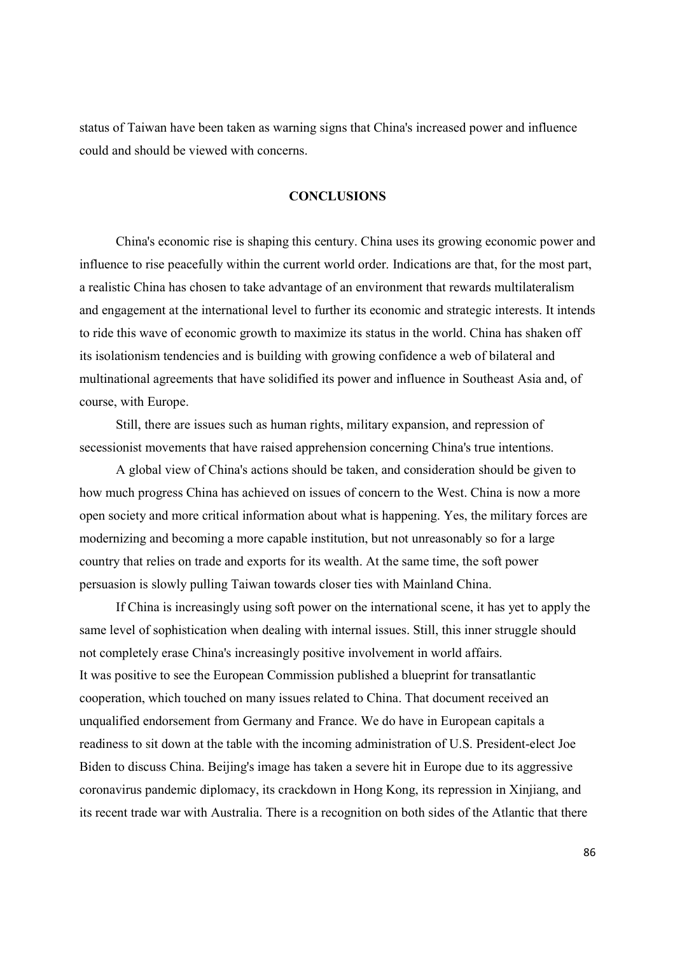status of Taiwan have been taken as warning signs that China's increased power and influence could and should be viewed with concerns.

## **CONCLUSIONS**

 China's economic rise is shaping this century. China uses its growing economic power and influence to rise peacefully within the current world order. Indications are that, for the most part, a realistic China has chosen to take advantage of an environment that rewards multilateralism and engagement at the international level to further its economic and strategic interests. It intends to ride this wave of economic growth to maximize its status in the world. China has shaken off its isolationism tendencies and is building with growing confidence a web of bilateral and multinational agreements that have solidified its power and influence in Southeast Asia and, of course, with Europe.

 Still, there are issues such as human rights, military expansion, and repression of secessionist movements that have raised apprehension concerning China's true intentions.

 A global view of China's actions should be taken, and consideration should be given to how much progress China has achieved on issues of concern to the West. China is now a more open society and more critical information about what is happening. Yes, the military forces are modernizing and becoming a more capable institution, but not unreasonably so for a large country that relies on trade and exports for its wealth. At the same time, the soft power persuasion is slowly pulling Taiwan towards closer ties with Mainland China.

 If China is increasingly using soft power on the international scene, it has yet to apply the same level of sophistication when dealing with internal issues. Still, this inner struggle should not completely erase China's increasingly positive involvement in world affairs. It was positive to see the European Commission published a blueprint for transatlantic cooperation, which touched on many issues related to China. That document received an unqualified endorsement from Germany and France. We do have in European capitals a readiness to sit down at the table with the incoming administration of U.S. President-elect Joe Biden to discuss China. Beijing's image has taken a severe hit in Europe due to its aggressive coronavirus pandemic diplomacy, its crackdown in Hong Kong, its repression in Xinjiang, and its recent trade war with Australia. There is a recognition on both sides of the Atlantic that there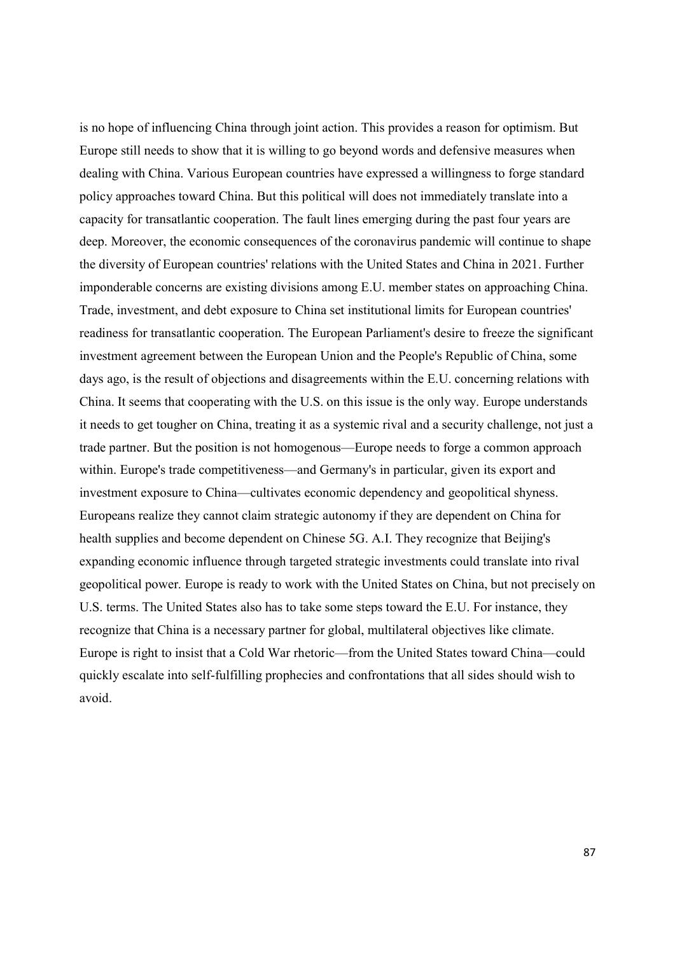is no hope of influencing China through joint action. This provides a reason for optimism. But Europe still needs to show that it is willing to go beyond words and defensive measures when dealing with China. Various European countries have expressed a willingness to forge standard policy approaches toward China. But this political will does not immediately translate into a capacity for transatlantic cooperation. The fault lines emerging during the past four years are deep. Moreover, the economic consequences of the coronavirus pandemic will continue to shape the diversity of European countries' relations with the United States and China in 2021. Further imponderable concerns are existing divisions among E.U. member states on approaching China. Trade, investment, and debt exposure to China set institutional limits for European countries' readiness for transatlantic cooperation. The European Parliament's desire to freeze the significant investment agreement between the European Union and the People's Republic of China, some days ago, is the result of objections and disagreements within the E.U. concerning relations with China. It seems that cooperating with the U.S. on this issue is the only way. Europe understands it needs to get tougher on China, treating it as a systemic rival and a security challenge, not just a trade partner. But the position is not homogenous—Europe needs to forge a common approach within. Europe's trade competitiveness—and Germany's in particular, given its export and investment exposure to China—cultivates economic dependency and geopolitical shyness. Europeans realize they cannot claim strategic autonomy if they are dependent on China for health supplies and become dependent on Chinese 5G. A.I. They recognize that Beijing's expanding economic influence through targeted strategic investments could translate into rival geopolitical power. Europe is ready to work with the United States on China, but not precisely on U.S. terms. The United States also has to take some steps toward the E.U. For instance, they recognize that China is a necessary partner for global, multilateral objectives like climate. Europe is right to insist that a Cold War rhetoric—from the United States toward China—could quickly escalate into self-fulfilling prophecies and confrontations that all sides should wish to avoid.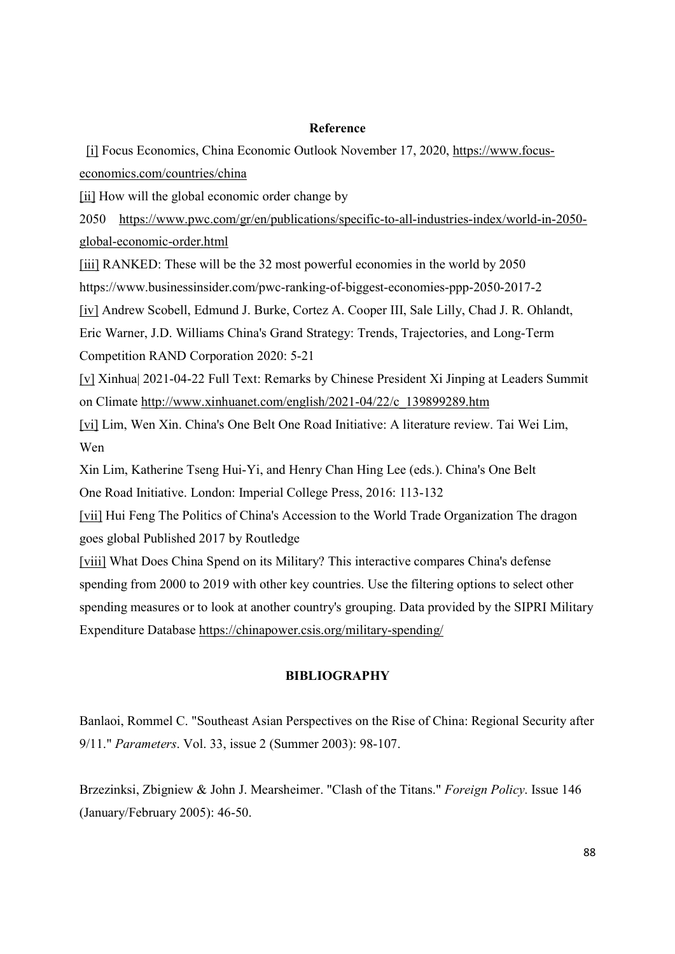### Reference

 [i] Focus Economics, China Economic Outlook November 17, 2020, https://www.focuseconomics.com/countries/china

[ii] How will the global economic order change by

2050 https://www.pwc.com/gr/en/publications/specific-to-all-industries-index/world-in-2050 global-economic-order.html

[iii] RANKED: These will be the 32 most powerful economies in the world by 2050 https://www.businessinsider.com/pwc-ranking-of-biggest-economies-ppp-2050-2017-2

[iv] Andrew Scobell, Edmund J. Burke, Cortez A. Cooper III, Sale Lilly, Chad J. R. Ohlandt,

Eric Warner, J.D. Williams China's Grand Strategy: Trends, Trajectories, and Long-Term Competition RAND Corporation 2020: 5-21

[v] Xinhua| 2021-04-22 Full Text: Remarks by Chinese President Xi Jinping at Leaders Summit on Climate http://www.xinhuanet.com/english/2021-04/22/c\_139899289.htm

[vi] Lim, Wen Xin. China's One Belt One Road Initiative: A literature review. Tai Wei Lim, Wen

Xin Lim, Katherine Tseng Hui-Yi, and Henry Chan Hing Lee (eds.). China's One Belt One Road Initiative. London: Imperial College Press, 2016: 113-132

[vii] Hui Feng The Politics of China's Accession to the World Trade Organization The dragon goes global Published 2017 by Routledge

[viii] What Does China Spend on its Military? This interactive compares China's defense spending from 2000 to 2019 with other key countries. Use the filtering options to select other spending measures or to look at another country's grouping. Data provided by the SIPRI Military Expenditure Database https://chinapower.csis.org/military-spending/

## **BIBLIOGRAPHY**

Banlaoi, Rommel C. "Southeast Asian Perspectives on the Rise of China: Regional Security after 9/11." Parameters. Vol. 33, issue 2 (Summer 2003): 98-107.

Brzezinksi, Zbigniew & John J. Mearsheimer. "Clash of the Titans." Foreign Policy. Issue 146 (January/February 2005): 46-50.